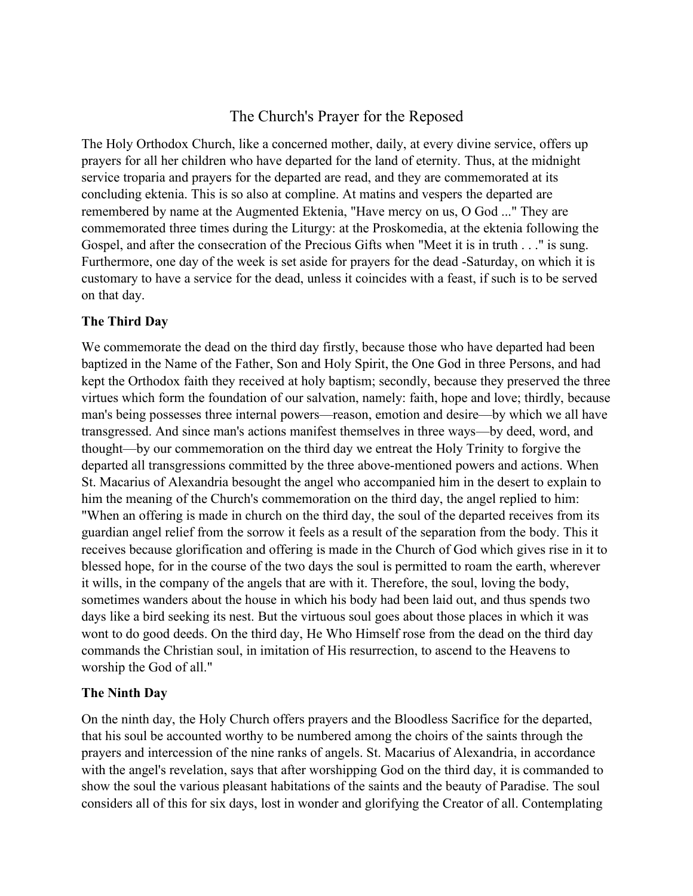# The Church's Prayer for the Reposed

The Holy Orthodox Church, like a concerned mother, daily, at every divine service, offers up prayers for all her children who have departed for the land of eternity. Thus, at the midnight service troparia and prayers for the departed are read, and they are commemorated at its concluding ektenia. This is so also at compline. At matins and vespers the departed are remembered by name at the Augmented Ektenia, "Have mercy on us, O God ..." They are commemorated three times during the Liturgy: at the Proskomedia, at the ektenia following the Gospel, and after the consecration of the Precious Gifts when "Meet it is in truth . . ." is sung. Furthermore, one day of the week is set aside for prayers for the dead -Saturday, on which it is customary to have a service for the dead, unless it coincides with a feast, if such is to be served on that day.

#### **The Third Day**

We commemorate the dead on the third day firstly, because those who have departed had been baptized in the Name of the Father, Son and Holy Spirit, the One God in three Persons, and had kept the Orthodox faith they received at holy baptism; secondly, because they preserved the three virtues which form the foundation of our salvation, namely: faith, hope and love; thirdly, because man's being possesses three internal powers—reason, emotion and desire—by which we all have transgressed. And since man's actions manifest themselves in three ways—by deed, word, and thought—by our commemoration on the third day we entreat the Holy Trinity to forgive the departed all transgressions committed by the three above-mentioned powers and actions. When St. Macarius of Alexandria besought the angel who accompanied him in the desert to explain to him the meaning of the Church's commemoration on the third day, the angel replied to him: "When an offering is made in church on the third day, the soul of the departed receives from its guardian angel relief from the sorrow it feels as a result of the separation from the body. This it receives because glorification and offering is made in the Church of God which gives rise in it to blessed hope, for in the course of the two days the soul is permitted to roam the earth, wherever it wills, in the company of the angels that are with it. Therefore, the soul, loving the body, sometimes wanders about the house in which his body had been laid out, and thus spends two days like a bird seeking its nest. But the virtuous soul goes about those places in which it was wont to do good deeds. On the third day, He Who Himself rose from the dead on the third day commands the Christian soul, in imitation of His resurrection, to ascend to the Heavens to worship the God of all."

#### **The Ninth Day**

On the ninth day, the Holy Church offers prayers and the Bloodless Sacrifice for the departed, that his soul be accounted worthy to be numbered among the choirs of the saints through the prayers and intercession of the nine ranks of angels. St. Macarius of Alexandria, in accordance with the angel's revelation, says that after worshipping God on the third day, it is commanded to show the soul the various pleasant habitations of the saints and the beauty of Paradise. The soul considers all of this for six days, lost in wonder and glorifying the Creator of all. Contemplating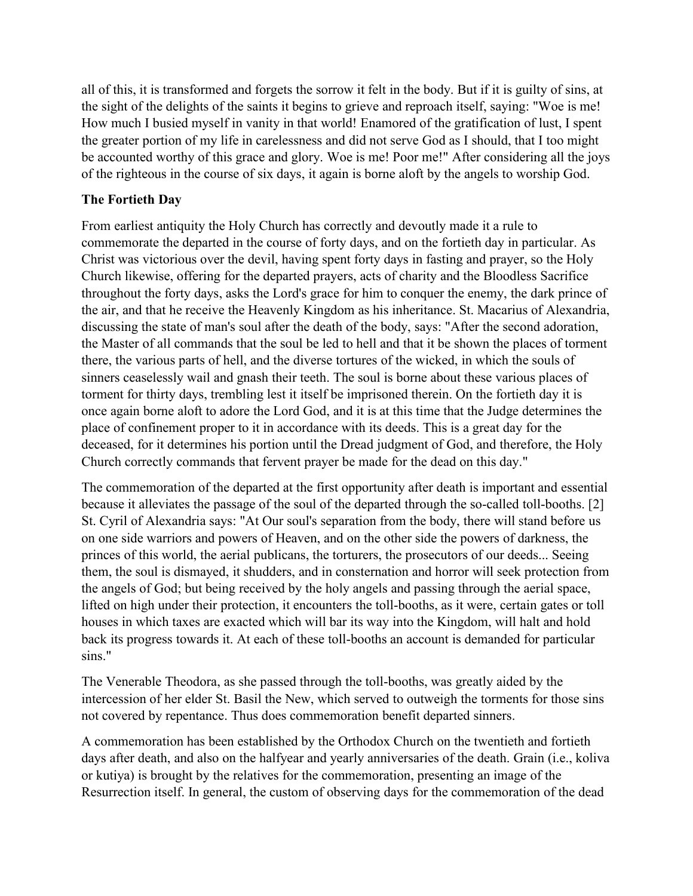all of this, it is transformed and forgets the sorrow it felt in the body. But if it is guilty of sins, at the sight of the delights of the saints it begins to grieve and reproach itself, saying: "Woe is me! How much I busied myself in vanity in that world! Enamored of the gratification of lust, I spent the greater portion of my life in carelessness and did not serve God as I should, that I too might be accounted worthy of this grace and glory. Woe is me! Poor me!" After considering all the joys of the righteous in the course of six days, it again is borne aloft by the angels to worship God.

### **The Fortieth Day**

From earliest antiquity the Holy Church has correctly and devoutly made it a rule to commemorate the departed in the course of forty days, and on the fortieth day in particular. As Christ was victorious over the devil, having spent forty days in fasting and prayer, so the Holy Church likewise, offering for the departed prayers, acts of charity and the Bloodless Sacrifice throughout the forty days, asks the Lord's grace for him to conquer the enemy, the dark prince of the air, and that he receive the Heavenly Kingdom as his inheritance. St. Macarius of Alexandria, discussing the state of man's soul after the death of the body, says: "After the second adoration, the Master of all commands that the soul be led to hell and that it be shown the places of torment there, the various parts of hell, and the diverse tortures of the wicked, in which the souls of sinners ceaselessly wail and gnash their teeth. The soul is borne about these various places of torment for thirty days, trembling lest it itself be imprisoned therein. On the fortieth day it is once again borne aloft to adore the Lord God, and it is at this time that the Judge determines the place of confinement proper to it in accordance with its deeds. This is a great day for the deceased, for it determines his portion until the Dread judgment of God, and therefore, the Holy Church correctly commands that fervent prayer be made for the dead on this day."

The commemoration of the departed at the first opportunity after death is important and essential because it alleviates the passage of the soul of the departed through the so-called toll-booths. [2] St. Cyril of Alexandria says: "At Our soul's separation from the body, there will stand before us on one side warriors and powers of Heaven, and on the other side the powers of darkness, the princes of this world, the aerial publicans, the torturers, the prosecutors of our deeds... Seeing them, the soul is dismayed, it shudders, and in consternation and horror will seek protection from the angels of God; but being received by the holy angels and passing through the aerial space, lifted on high under their protection, it encounters the toll-booths, as it were, certain gates or toll houses in which taxes are exacted which will bar its way into the Kingdom, will halt and hold back its progress towards it. At each of these toll-booths an account is demanded for particular sins."

The Venerable Theodora, as she passed through the toll-booths, was greatly aided by the intercession of her elder St. Basil the New, which served to outweigh the torments for those sins not covered by repentance. Thus does commemoration benefit departed sinners.

A commemoration has been established by the Orthodox Church on the twentieth and fortieth days after death, and also on the halfyear and yearly anniversaries of the death. Grain (i.e., koliva or kutiya) is brought by the relatives for the commemoration, presenting an image of the Resurrection itself. In general, the custom of observing days for the commemoration of the dead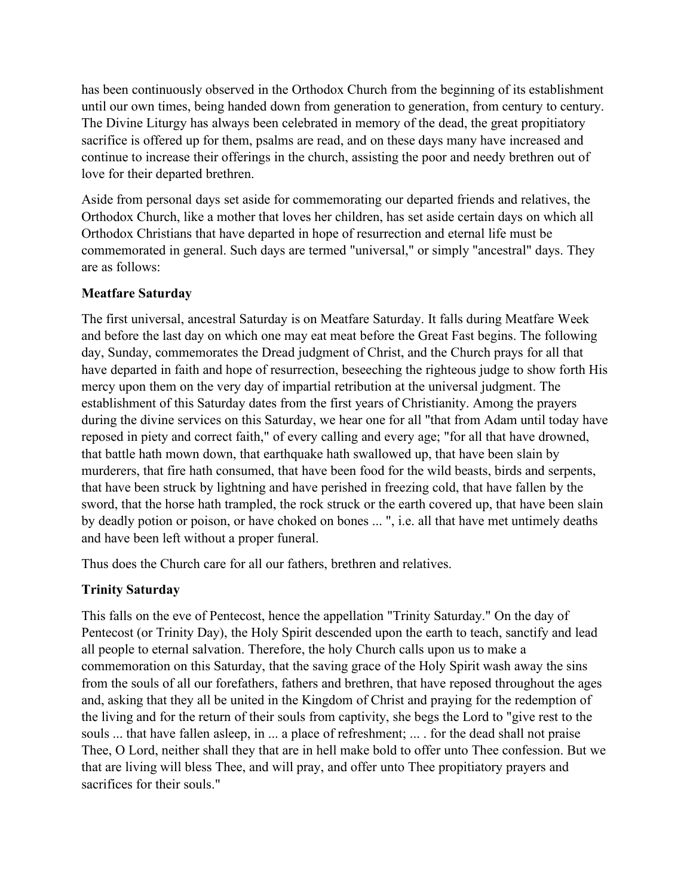has been continuously observed in the Orthodox Church from the beginning of its establishment until our own times, being handed down from generation to generation, from century to century. The Divine Liturgy has always been celebrated in memory of the dead, the great propitiatory sacrifice is offered up for them, psalms are read, and on these days many have increased and continue to increase their offerings in the church, assisting the poor and needy brethren out of love for their departed brethren.

Aside from personal days set aside for commemorating our departed friends and relatives, the Orthodox Church, like a mother that loves her children, has set aside certain dayson which all Orthodox Christians that have departed in hope of resurrection and eternal life must be commemorated in general. Such days are termed "universal," or simply "ancestral" days. They are as follows:

### **Meatfare Saturday**

The first universal, ancestral Saturday is on Meatfare Saturday. It falls during Meatfare Week and before the last day on which one may eat meat before the Great Fast begins. The following day, Sunday, commemorates the Dread judgment of Christ, and the Church prays for all that have departed in faith and hope of resurrection, beseeching the righteous judge to show forth His mercy upon them on the very day of impartial retribution at the universal judgment. The establishment of this Saturday dates from the first years of Christianity. Among the prayers during the divine services on this Saturday, we hear one for all "that from Adam until today have reposed in piety and correct faith," of every calling and every age; "for all that have drowned, that battle hath mown down, that earthquake hath swallowed up, that have been slain by murderers, that fire hath consumed, that have been food for the wild beasts, birds and serpents, that have been struck by lightning and have perished in freezing cold, that have fallen by the sword, that the horse hath trampled, the rock struck or the earth covered up, that have been slain by deadly potion or poison, or have choked on bones ... ", i.e. all that have met untimely deaths and have been left without a proper funeral.

Thus does the Church care for all our fathers, brethren and relatives.

# **Trinity Saturday**

This falls on the eve of Pentecost, hence the appellation "Trinity Saturday." On the day of Pentecost (or Trinity Day), the Holy Spirit descended upon the earth to teach, sanctify and lead all people to eternal salvation. Therefore, the holy Church calls upon us to make a commemoration on this Saturday, that the saving grace of the Holy Spirit wash away the sins from the souls of all our forefathers, fathers and brethren, that have reposed throughout the ages and, asking that they all be united in the Kingdom of Christ and praying for the redemption of the living and for the return of their souls from captivity, she begs the Lord to "give rest to the souls ... that have fallen asleep, in ... a place of refreshment; ... . for the dead shall not praise Thee, O Lord, neither shall they that are in hell make bold to offerunto Thee confession. But we that are living will bless Thee, and will pray, and offer unto Thee propitiatory prayers and sacrifices for their souls."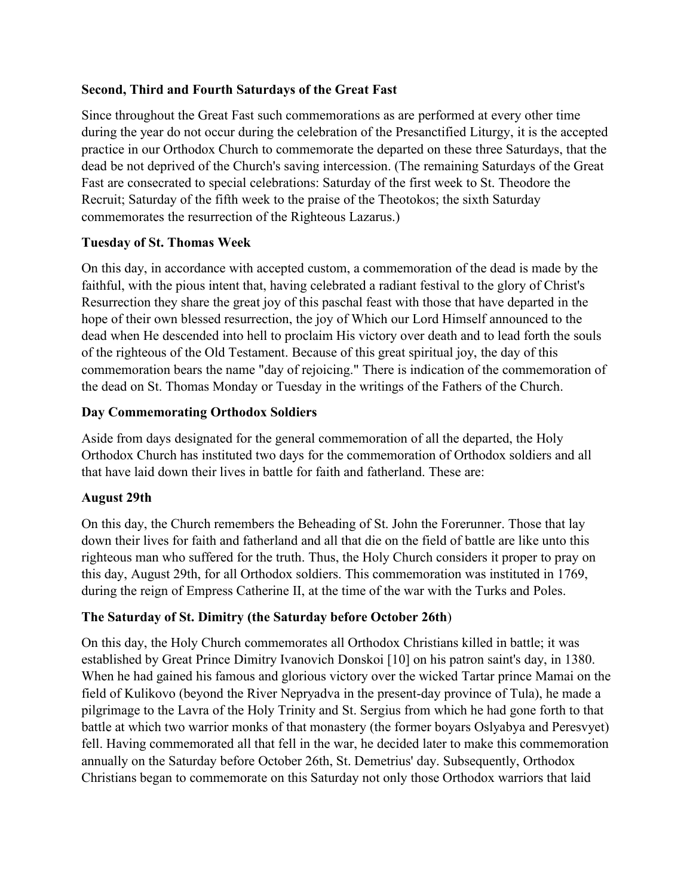### **Second, Third and Fourth Saturdays of the Great Fast**

Since throughout the Great Fast such commemorations as are performed at every other time during the year do not occur during the celebration of the Presanctified Liturgy, it is the accepted practice in our Orthodox Church to commemorate the departed on these three Saturdays, that the dead be not deprived of the Church's saving intercession. (The remaining Saturdays of the Great Fast are consecrated to special celebrations: Saturday of the first week to St. Theodore the Recruit; Saturday of the fifth week to the praise of the Theotokos; the sixth Saturday commemorates the resurrection of the Righteous Lazarus.)

#### **Tuesday of St. Thomas Week**

On this day, in accordance with accepted custom, a commemoration of the dead is made by the faithful, with the pious intent that, having celebrated a radiant festival to the glory of Christ's Resurrection they share the great joy of this paschal feast with those that have departed in the hope of their own blessed resurrection, the joy of Which our Lord Himself announced to the dead when He descended into hell to proclaim His victory over death and to lead forth the souls of the righteous of the Old Testament. Because of this great spiritual joy, the day of this commemoration bears the name "day of rejoicing." There is indication of the commemoration of the dead on St. Thomas Monday or Tuesday in the writings of the Fathers of the Church.

#### **Day Commemorating Orthodox Soldiers**

Aside from days designated for the general commemoration of all the departed, the Holy Orthodox Church has instituted two days for the commemoration of Orthodox soldiers and all that have laid down their lives in battle for faith and fatherland. These are:

#### **August 29th**

On this day, the Church remembers the Beheading of St. John the Forerunner. Those that lay down their lives for faith and fatherland and all that die on the field of battle are like unto this righteous man who suffered for the truth. Thus, the Holy Church considers it proper to pray on this day, August 29th, for all Orthodox soldiers. This commemoration was instituted in 1769, during the reign of Empress Catherine II, at the time of the war with the Turks and Poles.

# **The Saturday of St. Dimitry (the Saturday before October 26th**)

On this day, the Holy Church commemorates all Orthodox Christians killed in battle; it was established by Great Prince Dimitry Ivanovich Donskoi [10] on his patron saint's day, in 1380. When he had gained his famous and glorious victory over the wicked Tartar prince Mamai on the field of Kulikovo (beyond the River Nepryadva in the present-day province of Tula), he made a pilgrimage to the Lavra of the Holy Trinity and St. Sergius from which he had gone forth to that battle at which two warrior monks of that monastery (the former boyars Oslyabya and Peresvyet) fell. Having commemorated all that fell in the war, he decided later to make this commemoration annually on the Saturday before October 26th, St. Demetrius' day. Subsequently, Orthodox Christians began to commemorate on this Saturday not only those Orthodox warriors that laid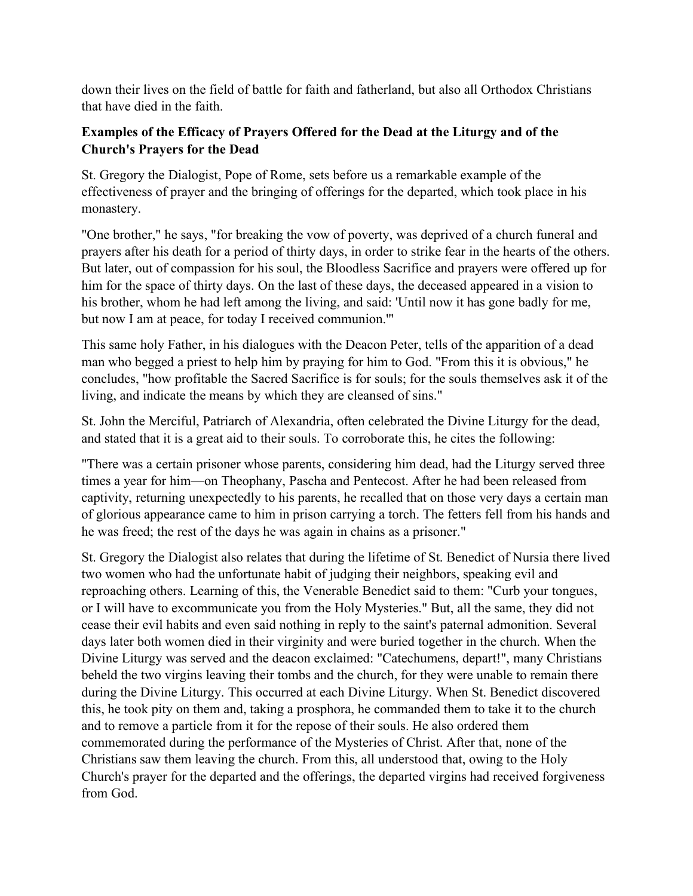down their lives on the field of battle for faith and fatherland, but also all Orthodox Christians that have died in the faith.

# **Examples ofthe Efficacy of Prayers Offered for the Dead at the Liturgy and of the Church's Prayers for the Dead**

St. Gregory the Dialogist, Pope of Rome, sets before us a remarkable example of the effectiveness of prayer and the bringing of offerings for the departed, which took place in his monastery.

"One brother," he says, "for breaking the vow of poverty, was deprived of a church funeral and prayers after his death for a period of thirty days, in order to strike fear in the hearts of the others. But later, out of compassion for his soul, the Bloodless Sacrifice and prayers were offered up for him for the space of thirty days. On the last of these days, the deceased appeared in a vision to his brother, whom he had left among the living, and said: 'Until now it has gone badly for me, but now I am at peace, for today I received communion.'"

This same holy Father, in his dialogues with the Deacon Peter, tells of the apparition of a dead man who begged a priest to help him by praying for him to God. "From this it is obvious," he concludes, "how profitable the Sacred Sacrifice is for souls; for the souls themselves ask it of the living, and indicate the means by which they are cleansed of sins."

St. John the Merciful, Patriarch of Alexandria, often celebrated the Divine Liturgy for the dead, and stated that it is a great aid to their souls. To corroborate this, he cites the following:

"There was a certain prisoner whose parents, considering him dead, had the Liturgy served three times a year for him—on Theophany, Pascha and Pentecost. After he had been released from captivity, returning unexpectedly to his parents, he recalled that on those very days a certain man of glorious appearance came to him in prison carrying a torch. The fetters fell from his hands and he was freed; the rest of the days he was again in chains as a prisoner."

St. Gregory the Dialogist also relates that during the lifetime of St. Benedict of Nursia there lived two women who had the unfortunate habit of judging their neighbors, speaking evil and reproaching others. Learning of this, the Venerable Benedict said to them: "Curb your tongues, or I will have to excommunicate you from the Holy Mysteries." But, all the same, they did not cease their evil habits and even said nothing in reply to the saint's paternal admonition. Several days later both women died in their virginity and were buried together in the church. When the Divine Liturgy was served and the deacon exclaimed: "Catechumens, depart!", many Christians beheld the two virgins leaving their tombs and the church, for they were unable to remain there during the Divine Liturgy. This occurred at each Divine Liturgy. When St. Benedict discovered this, he took pity on them and, taking a prosphora, he commanded them to take it to the church and to remove a particle from it for the repose of their souls. He also ordered them commemorated during the performance of the Mysteries of Christ. After that, none of the Christians saw them leaving the church. From this, all understood that, owing to the Holy Church's prayer for the departed and the offerings, the departed virgins had received forgiveness from God.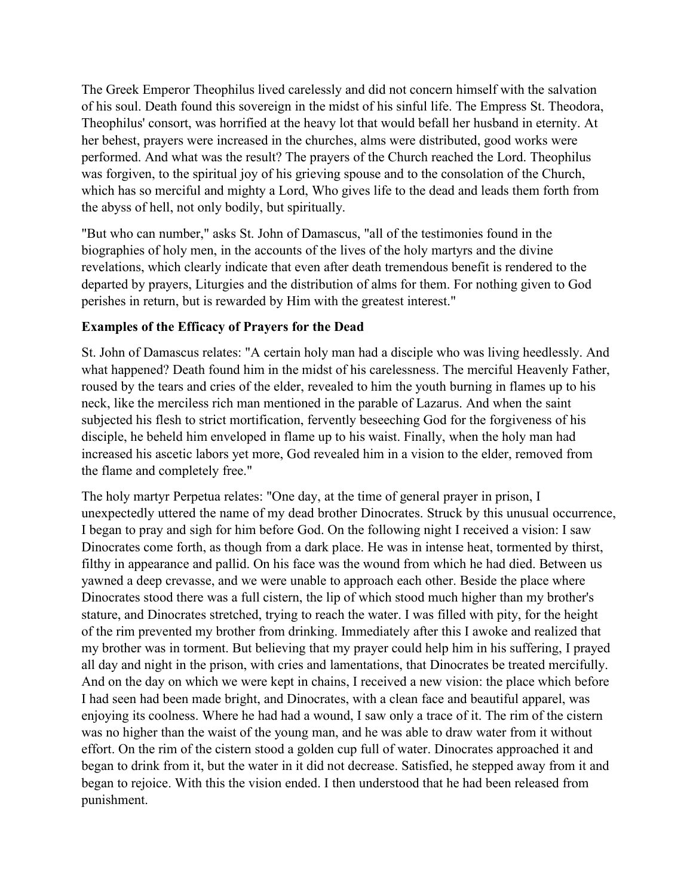The Greek Emperor Theophilus lived carelessly and did not concern himself with the salvation of his soul. Death found this sovereign in the midst of his sinful life. The Empress St. Theodora, Theophilus' consort, was horrified at the heavy lot that would befall her husband in eternity. At her behest, prayers were increased in the churches, alms were distributed, good works were performed. And what was the result? The prayers of the Church reached the Lord. Theophilus was forgiven, to the spiritual joy of his grieving spouse and to the consolation of the Church, which has so merciful and mighty a Lord, Who gives life to the dead and leads them forth from the abyss of hell, not only bodily, but spiritually.

"But who can number," asks St. John of Damascus, "all of the testimonies found in the biographies of holy men, in the accounts of the lives of the holy martyrs and the divine revelations, which clearly indicate that even after death tremendous benefit is rendered to the departed by prayers, Liturgies and the distribution of alms for them. For nothing given to God perishes in return, but is rewarded by Him with the greatest interest."

#### **Examples** of the **Efficacy** of **Prayers** for the Dead

St. John of Damascus relates: "A certain holy man had a disciple who was living heedlessly. And what happened? Death found him in the midst of his carelessness. The merciful Heavenly Father, roused by the tears and cries of the elder, revealed to him the youth burning in flames up to his neck, like the merciless rich man mentioned in the parable of Lazarus. And when the saint subjected his flesh to strict mortification, fervently beseeching God for the forgiveness of his disciple, he beheld him enveloped in flame up to his waist. Finally, when the holy man had increased his ascetic labors yet more, God revealed him in a vision to the elder, removed from the flame and completely free."

The holy martyr Perpetua relates:"One day, at the time of general prayer in prison, I unexpectedly uttered the name of my dead brother Dinocrates. Struck by this unusual occurrence, I began to pray and sigh for him before God. On the following night I received a vision: I saw Dinocrates come forth, as though from a dark place. He was in intense heat, tormented by thirst, filthy in appearance and pallid. On his face was the wound from which he had died. Between us yawned a deep crevasse, and we were unable to approach each other. Beside the place where Dinocrates stood there was a full cistern, the lip of which stood much higher than my brother's stature, and Dinocrates stretched, trying to reach the water. I was filled with pity, for the height of the rim prevented my brother from drinking. Immediately after this I awoke and realized that my brother was in torment. But believing that my prayer could help him in his suffering, I prayed all day and night in the prison, with cries and lamentations, that Dinocrates be treated mercifully. And on the day on which we were kept in chains, I received a new vision: the place which before I had seen had been made bright, and Dinocrates, with a clean face and beautiful apparel, was enjoying its coolness. Where he had had a wound, I saw only a trace of it. The rim of the cistern was no higher than the waist of the young man, and he was able to draw water from it without effort. On the rim of the cistern stood a golden cup full of water. Dinocrates approached it and began to drink from it, but the water in it did not decrease. Satisfied, he stepped away from it and began to rejoice. With this the vision ended. I then understood that he had been released from punishment.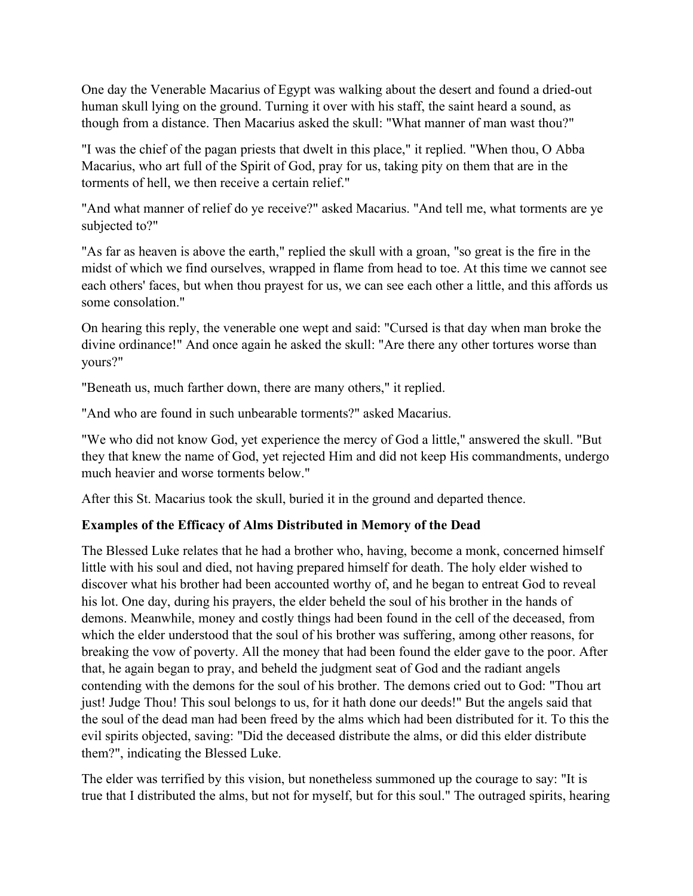One day the Venerable Macarius of Egypt was walking about the desert and found a dried-out human skull lying on the ground. Turning it over with his staff, the saint heard a sound, as though from a distance. Then Macarius asked the skull: "What manner of man wast thou?"

"I was the chief of the pagan priests that dwelt in this place," it replied. "When thou, O Abba Macarius, who art full of the Spirit of God, pray for us, taking pity on them that are in the torments of hell, we then receive a certain relief."

"And what manner of relief do ye receive?" asked Macarius. "And tell me, what torments are ye subjected to?"

"As far as heaven is above the earth," replied the skull with a groan, "so great is the fire in the midst of which we find ourselves, wrapped in flame from head to toe. At this time we cannot see each others' faces, but when thou prayest for us, we can see each other a little, and this affords us some consolation."

On hearing this reply, the venerable one wept and said: "Cursed is that day when man broke the divine ordinance!" And once again he asked the skull: "Are there any other tortures worse than yours?"

"Beneath us, much farther down, there are many others," it replied.

"And who are found in such unbearable torments?" asked Macarius.

"We who did not know God, yet experience the mercy of God a little," answered the skull. "But they that knew the name of God, yet rejected Him and did not keep His commandments, undergo much heavier and worse torments below."

After this St. Macarius took the skull, buried it in the ground and departed thence.

# **Examples** of the **Efficacy** of Alms Distributed in Memory of the Dead

The Blessed Luke relates that he had a brother who, having, become a monk, concerned himself little with his soul and died, not having prepared himself for death. The holy elder wished to discover what his brother had been accounted worthy of, and he began to entreat God to reveal his lot. One day, during his prayers, the elder beheld the soul of his brother in the hands of demons. Meanwhile, money and costly things had been found in the cellof the deceased, from which the elder understood that the soul of his brother was suffering, among other reasons, for breaking the vow of poverty. All the money that had been found the elder gave to the poor. After that, he again began to pray, and beheld the judgment seat of God and the radiant angels contending with the demons for the soul of his brother. The demons cried out to God: "Thou art just! Judge Thou! This soul belongs to us, for it hath done our deeds!" But the angels said that the soul of the dead man had been freed by the alms which had been distributed for it. To this the evil spirits objected, saving: "Did the deceased distribute the alms, or did this elder distribute them?", indicating the Blessed Luke.

The elder was terrified by this vision, but nonetheless summoned up the courage to say: "It is true that I distributed the alms, but not for myself, but for this soul." The outraged spirits, hearing